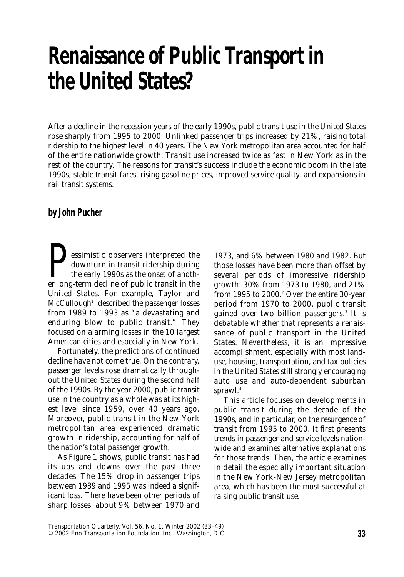# **Renaissance of Public Transport in the United States?**

*After a decline in the recession years of the early 1990s, public transit use in the United States rose sharply from 1995 to 2000. Unlinked passenger trips increased by 21%, raising total ridership to the highest level in 40 years. The New York metropolitan area accounted for half of the entire nationwide growth. Transit use increased twice as fast in New York as in the rest of the country. The reasons for transit's success include the economic boom in the late 1990s, stable transit fares, rising gasoline prices, improved service quality, and expansions in rail transit systems.*

#### **by John Pucher**

essimistic observers interpreted the<br>downturn in transit ridership during<br>the early 1990s as the onset of anoth-<br>er long-term decline of public transit in the downturn in transit ridership during the early 1990s as the onset of anoth-United States. For example, Taylor and  $McCullough<sup>1</sup>$  described the passenger losses from 1989 to 1993 as "a devastating and enduring blow to public transit." They focused on alarming losses in the 10 largest American cities and especially in New York.

Fortunately, the predictions of continued decline have not come true. On the contrary, passenger levels rose dramatically throughout the United States during the second half of the 1990s. By the year 2000, public transit use in the country as a whole was at its highest level since 1959, over 40 years ago. Moreover, public transit in the New York metropolitan area experienced dramatic growth in ridership, accounting for half of the nation's total passenger growth.

As Figure 1 shows, public transit has had its ups and downs over the past three decades. The 15% drop in passenger trips between 1989 and 1995 was indeed a significant loss. There have been other periods of sharp losses: about 9% between 1970 and

1973, and 6% between 1980 and 1982. But those losses have been more than offset by several periods of impressive ridership growth: 30% from 1973 to 1980, and 21% from 1995 to 2000.<sup>2</sup> Over the entire 30-year period from 1970 to 2000, public transit gained over two billion passengers.3 It is debatable whether that represents a renaissance of public transport in the United States. Nevertheless, it is an impressive accomplishment, especially with most landuse, housing, transportation, and tax policies in the United States still strongly encouraging auto use and auto-dependent suburban sprawl.<sup>4</sup>

This article focuses on developments in public transit during the decade of the 1990s, and in particular, on the resurgence of transit from 1995 to 2000. It first presents trends in passenger and service levels nationwide and examines alternative explanations for those trends. Then, the article examines in detail the especially important situation in the New York-New Jersey metropolitan area, which has been the most successful at raising public transit use.

*Transportation Quarterly,* Vol. 56, No. 1, Winter 2002 (33–49) © 2002 Eno Transportation Foundation, Inc., Washington, D.C.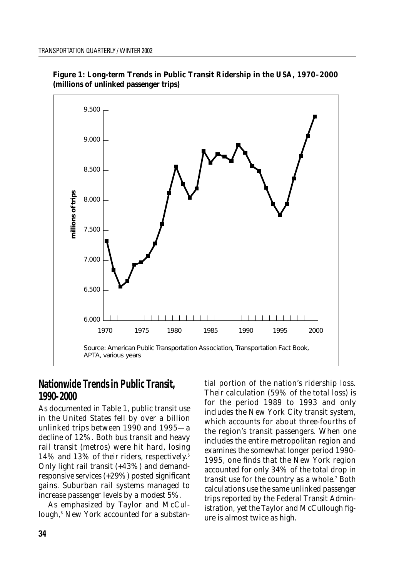

**Figure 1: Long-term Trends in Public Transit Ridership in the USA, 1970–2000 (millions of unlinked passenger trips)**

## **Nationwide Trends in Public Transit, 1990-2000**

As documented in Table 1, public transit use in the United States fell by over a billion unlinked trips between 1990 and 1995—a decline of 12%. Both bus transit and heavy rail transit (metros) were hit hard, losing 14% and 13% of their riders, respectively.<sup>5</sup> Only light rail transit (+43%) and demandresponsive services (+29%) posted significant gains. Suburban rail systems managed to increase passenger levels by a modest 5%.

As emphasized by Taylor and McCullough,<sup>6</sup> New York accounted for a substantial portion of the nation's ridership loss. Their calculation (59% of the total loss) is for the period 1989 to 1993 and only includes the New York City transit system, which accounts for about three-fourths of the region's transit passengers. When one includes the entire metropolitan region and examines the somewhat longer period 1990- 1995, one finds that the New York region accounted for only 34% of the total drop in transit use for the country as a whole.<sup>7</sup> Both calculations use the same unlinked passenger trips reported by the Federal Transit Administration, yet the Taylor and McCullough figure is almost twice as high.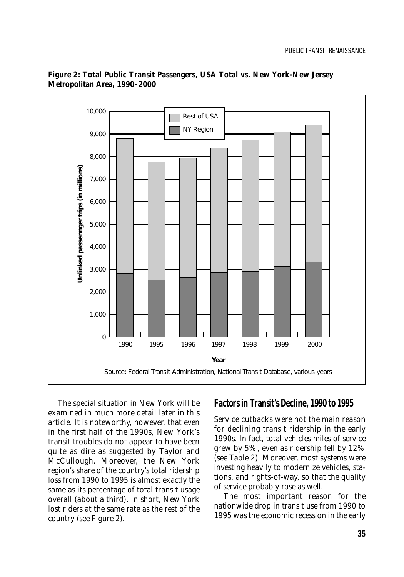

#### **Figure 2: Total Public Transit Passengers, USA Total vs. New York-New Jersey Metropolitan Area, 1990–2000**

The special situation in New York will be examined in much more detail later in this article. It is noteworthy, however, that even in the first half of the 1990s, New York's transit troubles do not appear to have been quite as dire as suggested by Taylor and McCullough. Moreover, the New York region's share of the country's total ridership loss from 1990 to 1995 is almost exactly the same as its percentage of total transit usage overall (about a third). In short, New York lost riders at the same rate as the rest of the country (see Figure 2).

#### **Factors in Transit's Decline, 1990 to 1995**

Service cutbacks were not the main reason for declining transit ridership in the early 1990s. In fact, total vehicles miles of service grew by 5%, even as ridership fell by 12% (see Table 2). Moreover, most systems were investing heavily to modernize vehicles, stations, and rights-of-way, so that the quality of service probably rose as well.

The most important reason for the nationwide drop in transit use from 1990 to 1995 was the economic recession in the early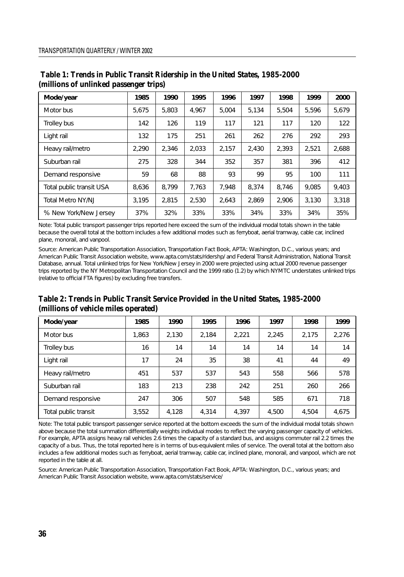| Mode/year                | 1985  | 1990  | 1995  | 1996  | 1997  | 1998  | 1999  | 2000  |
|--------------------------|-------|-------|-------|-------|-------|-------|-------|-------|
| Motor bus                | 5.675 | 5.803 | 4.967 | 5.004 | 5.134 | 5.504 | 5.596 | 5.679 |
| Trolley bus              | 142   | 126   | 119   | 117   | 121   | 117   | 120   | 122   |
| Light rail               | 132   | 175   | 251   | 261   | 262   | 276   | 292   | 293   |
| Heavy rail/metro         | 2.290 | 2,346 | 2,033 | 2,157 | 2,430 | 2,393 | 2,521 | 2,688 |
| Suburban rail            | 275   | 328   | 344   | 352   | 357   | 381   | 396   | 412   |
| Demand responsive        | 59    | 68    | 88    | 93    | 99    | 95    | 100   | 111   |
| Total public transit USA | 8.636 | 8.799 | 7.763 | 7.948 | 8.374 | 8.746 | 9.085 | 9.403 |
| <b>Total Metro NY/NJ</b> | 3.195 | 2.815 | 2.530 | 2.643 | 2.869 | 2.906 | 3.130 | 3.318 |
| % New York/New Jersey    | 37%   | 32%   | 33%   | 33%   | 34%   | 33%   | 34%   | 35%   |

**Table 1: Trends in Public Transit Ridership in the United States, 1985-2000 (millions of unlinked passenger trips)**

*Note: Total public transport passenger trips reported here exceed the sum of the individual modal totals shown in the table because the overall total at the bottom includes a few additional modes such as ferryboat, aerial tramway, cable car, inclined plane, monorail, and vanpool.*

*Source: American Public Transportation Association,* Transportation Fact Book, *APTA: Washington, D.C., various years; and American Public Transit Association website, www.apta.com/stats/ridershp/ and Federal Transit Administration, National Transit Database, annual. Total unlinked trips for New York/New Jersey in 2000 were projected using actual 2000 revenue passenger trips reported by the NY Metropolitan Transportation Council and the 1999 ratio (1.2) by which NYMTC understates unlinked trips (relative to official FTA figures) by excluding free transfers.*

#### **Table 2: Trends in Public Transit Service Provided in the United States, 1985-2000 (millions of vehicle miles operated)**

| Mode/year            | 1985  | 1990  | 1995  | 1996  | 1997  | 1998  | 1999  |
|----------------------|-------|-------|-------|-------|-------|-------|-------|
| Motor bus            | 1.863 | 2.130 | 2.184 | 2.221 | 2.245 | 2.175 | 2,276 |
| Trolley bus          | 16    | 14    | 14    | 14    | 14    | 14    | 14    |
| Light rail           | 17    | 24    | 35    | 38    | 41    | 44    | 49    |
| Heavy rail/metro     | 451   | 537   | 537   | 543   | 558   | 566   | 578   |
| Suburban rail        | 183   | 213   | 238   | 242   | 251   | 260   | 266   |
| Demand responsive    | 247   | 306   | 507   | 548   | 585   | 671   | 718   |
| Total public transit | 3.552 | 4.128 | 4.314 | 4.397 | 4.500 | 4.504 | 4,675 |

*Note: The total public transport passenger service reported at the bottom exceeds the sum of the individual modal totals shown above because the total summation differentially weights individual modes to reflect the varying passenger capacity of vehicles. For example, APTA assigns heavy rail vehicles 2.6 times the capacity of a standard bus, and assigns commuter rail 2.2 times the capacity of a bus. Thus, the total reported here is in terms of bus-equivalent miles of service. The overall total at the bottom also includes a few additional modes such as ferryboat, aerial tramway, cable car, inclined plane, monorail, and vanpool, which are not reported in the table at all.*

*Source: American Public Transportation Association,* Transportation Fact Book, *APTA: Washington, D.C., various years; and American Public Transit Association website, www.apta.com/stats/service/*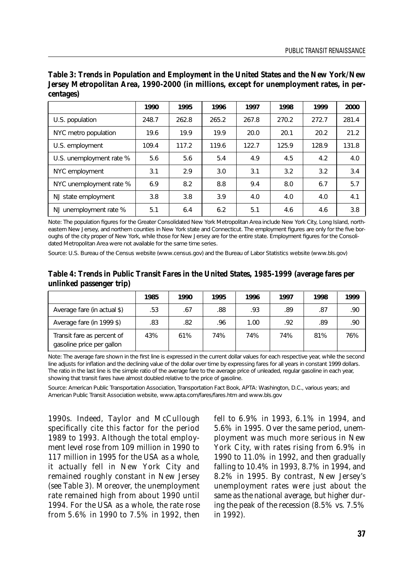|                          | 1990  | 1995  | 1996  | 1997  | 1998  | 1999  | 2000  |
|--------------------------|-------|-------|-------|-------|-------|-------|-------|
| U.S. population          | 248.7 | 262.8 | 265.2 | 267.8 | 270.2 | 272.7 | 281.4 |
| NYC metro population     | 19.6  | 19.9  | 19.9  | 20.0  | 20.1  | 20.2  | 21.2  |
| U.S. employment          | 109.4 | 117.2 | 119.6 | 122.7 | 125.9 | 128.9 | 131.8 |
| U.S. unemployment rate % | 5.6   | 5.6   | 5.4   | 4.9   | 4.5   | 4.2   | 4.0   |
| NYC employment           | 3.1   | 2.9   | 3.0   | 3.1   | 3.2   | 3.2   | 3.4   |
| NYC unemployment rate %  | 6.9   | 8.2   | 8.8   | 9.4   | 8.0   | 6.7   | 5.7   |
| NJ state employment      | 3.8   | 3.8   | 3.9   | 4.0   | 4.0   | 4.0   | 4.1   |
| NJ unemployment rate %   | 5.1   | 6.4   | 6.2   | 5.1   | 4.6   | 4.6   | 3.8   |

**Table 3: Trends in Population and Employment in the United States and the New York/New Jersey Metropolitan Area, 1990-2000 (in millions, except for unemployment rates, in percentages)**

*Note: The population figures for the Greater Consolidated New York Metropolitan Area include New York City, Long Island, northeastern New Jersey, and northern counties in New York state and Connecticut. The employment figures are only for the five boroughs of the city proper of New York, while those for New Jersey are for the entire state. Employment figures for the Consolidated Metropolitan Area were not available for the same time series.*

*Source: U.S. Bureau of the Census website (www.census.gov) and the Bureau of Labor Statistics website (www.bls.gov)*

#### **Table 4: Trends in Public Transit Fares in the United States, 1985-1999 (average fares per unlinked passenger trip)**

|                                                         | 1985 | 1990 | 1995 | 1996 | 1997 | 1998 | 1999 |
|---------------------------------------------------------|------|------|------|------|------|------|------|
| Average fare (in actual \$)                             | .53  | .67  | .88  | .93  | .89  | .87  | .90  |
| Average fare (in 1999 \$)                               | .83  | .82  | .96  | 1.00 | .92  | .89  | .90  |
| Transit fare as percent of<br>gasoline price per gallon | 43%  | 61%  | 74%  | 74%  | 74%  | 81%  | 76%  |

*Note: The average fare shown in the first line is expressed in the current dollar values for each respective year, while the second line adjusts for inflation and the declining value of the dollar over time by expressing fares for all years in constant 1999 dollars. The ratio in the last line is the simple ratio of the average fare to the average price of unleaded, regular gasoline in each year, showing that transit fares have almost doubled relative to the price of gasoline.*

*Source: American Public Transportation Association, Transportation Fact Book, APTA: Washington, D.C., various years; and American Public Transit Association website, www.apta.com/fares/fares.htm and www.bls.gov*

1990s. Indeed, Taylor and McCullough specifically cite this factor for the period 1989 to 1993. Although the total employment level rose from 109 million in 1990 to 117 million in 1995 for the USA as a whole, it actually fell in New York City and remained roughly constant in New Jersey (see Table 3). Moreover, the unemployment rate remained high from about 1990 until 1994. For the USA as a whole, the rate rose from 5.6% in 1990 to 7.5% in 1992, then fell to 6.9% in 1993, 6.1% in 1994, and 5.6% in 1995. Over the same period, unemployment was much more serious in New York City, with rates rising from 6.9% in 1990 to 11.0% in 1992, and then gradually falling to 10.4% in 1993, 8.7% in 1994, and 8.2% in 1995. By contrast, New Jersey's unemployment rates were just about the same as the national average, but higher during the peak of the recession (8.5% vs. 7.5% in 1992).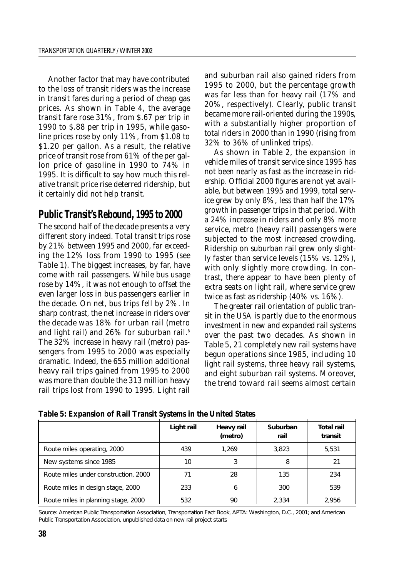Another factor that may have contributed to the loss of transit riders was the increase in transit fares during a period of cheap gas prices. As shown in Table 4, the average transit fare rose 31%, from \$.67 per trip in 1990 to \$.88 per trip in 1995, while gasoline prices rose by only 11%, from \$1.08 to \$1.20 per gallon. As a result, the relative price of transit rose from 61% of the per gallon price of gasoline in 1990 to 74% in 1995. It is difficult to say how much this relative transit price rise deterred ridership, but it certainly did not help transit.

# **Public Transit's Rebound, 1995 to 2000**

The second half of the decade presents a very different story indeed. Total transit trips rose by 21% between 1995 and 2000, far exceeding the 12% loss from 1990 to 1995 (see Table 1). The biggest increases, by far, have come with rail passengers. While bus usage rose by 14%, it was not enough to offset the even larger loss in bus passengers earlier in the decade. On net, bus trips fell by 2%. In sharp contrast, the net increase in riders over the decade was 18% for urban rail (metro and light rail) and 26% for suburban rail.<sup>8</sup> The 32% increase in heavy rail (metro) passengers from 1995 to 2000 was especially dramatic. Indeed, the 655 million additional heavy rail trips gained from 1995 to 2000 was more than double the 313 million heavy rail trips lost from 1990 to 1995. Light rail

and suburban rail also gained riders from 1995 to 2000, but the percentage growth was far less than for heavy rail (17% and 20%, respectively). Clearly, public transit became more rail-oriented during the 1990s, with a substantially higher proportion of total riders in 2000 than in 1990 (rising from 32% to 36% of unlinked trips).

As shown in Table 2, the expansion in vehicle miles of transit service since 1995 has not been nearly as fast as the increase in ridership. Official 2000 figures are not yet available, but between 1995 and 1999, total service grew by only 8%, less than half the 17% growth in passenger trips in that period. With a 24% increase in riders and only 8% more service, metro (heavy rail) passengers were subjected to the most increased crowding. Ridership on suburban rail grew only slightly faster than service levels (15% vs. 12%), with only slightly more crowding. In contrast, there appear to have been plenty of extra seats on light rail, where service grew twice as fast as ridership (40% vs. 16%).

The greater rail orientation of public transit in the USA is partly due to the enormous investment in new and expanded rail systems over the past two decades. As shown in Table 5, 21 completely new rail systems have begun operations since 1985, including 10 light rail systems, three heavy rail systems, and eight suburban rail systems. Moreover, the trend toward rail seems almost certain

|                                      | Light rail | Heavy rail<br>(metro) | Suburban<br>rail | <b>Total rail</b><br>transit |
|--------------------------------------|------------|-----------------------|------------------|------------------------------|
| Route miles operating, 2000          | 439        | 1.269                 | 3.823            | 5.531                        |
| New systems since 1985               | 10         |                       | 8                | 21                           |
| Route miles under construction, 2000 |            | 28                    | 135              | 234                          |
| Route miles in design stage, 2000    | 233        | 6                     | 300              | 539                          |
| Route miles in planning stage, 2000  | 532        | 90                    | 2.334            | 2.956                        |

**Table 5: Expansion of Rail Transit Systems in the United States**

*Source: American Public Transportation Association,* Transportation Fact Book, *APTA: Washington, D.C., 2001; and American Public Transportation Association, unpublished data on new rail project starts*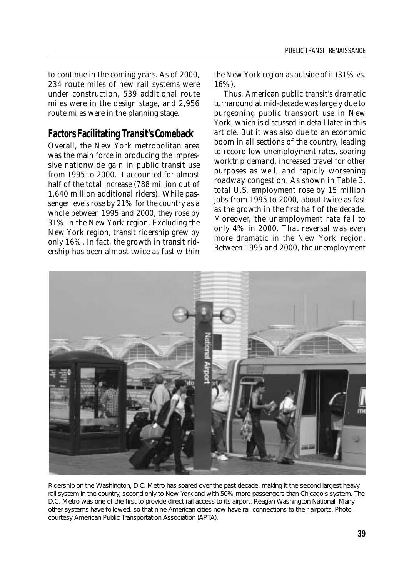to continue in the coming years. As of 2000, 234 route miles of new rail systems were under construction, 539 additional route miles were in the design stage, and 2,956 route miles were in the planning stage.

#### **Factors Facilitating Transit's Comeback**

Overall, the New York metropolitan area was the main force in producing the impressive nationwide gain in public transit use from 1995 to 2000. It accounted for almost half of the total increase (788 million out of 1,640 million additional riders). While passenger levels rose by 21% for the country as a whole between 1995 and 2000, they rose by 31% in the New York region. Excluding the New York region, transit ridership grew by only 16%. In fact, the growth in transit ridership has been almost twice as fast within the New York region as outside of it (31% vs. 16%).

Thus, American public transit's dramatic turnaround at mid-decade was largely due to burgeoning public transport use in New York, which is discussed in detail later in this article. But it was also due to an economic boom in all sections of the country, leading to record low unemployment rates, soaring worktrip demand, increased travel for other purposes as well, and rapidly worsening roadway congestion. As shown in Table 3, total U.S. employment rose by 15 million jobs from 1995 to 2000, about twice as fast as the growth in the first half of the decade. Moreover, the unemployment rate fell to only 4% in 2000. That reversal was even more dramatic in the New York region. Between 1995 and 2000, the unemployment



Ridership on the Washington, D.C. Metro has soared over the past decade, making it the second largest heavy rail system in the country, second only to New York and with 50% more passengers than Chicago's system. The D.C. Metro was one of the first to provide direct rail access to its airport, Reagan Washington National. Many other systems have followed, so that nine American cities now have rail connections to their airports. Photo courtesy American Public Transportation Association (APTA).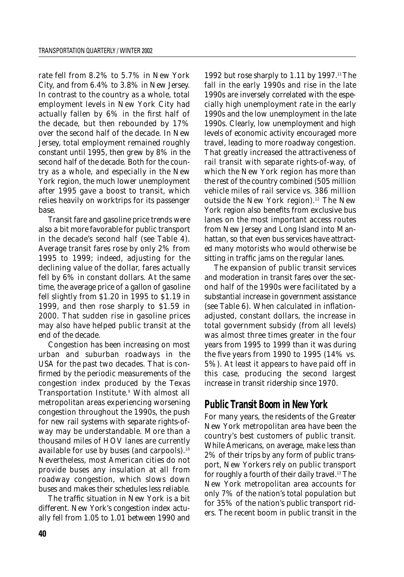rate fell from 8.2% to 5.7% in New York City, and from 6.4% to 3.8% in New Jersey. In contrast to the country as a whole, total employment levels in New York City had actually fallen by 6% in the first half of the decade, but then rebounded by 17% over the second half of the decade. In New Jersey, total employment remained roughly constant until 1995, then grew by 8% in the second half of the decade. Both for the country as a whole, and especially in the New York region, the much lower unemployment after 1995 gave a boost to transit, which relies heavily on worktrips for its passenger base.

Transit fare and gasoline price trends were also a bit more favorable for public transport in the decade's second half (see Table 4). Average transit fares rose by only 2% from 1995 to 1999; indeed, adjusting for the declining value of the dollar, fares actually fell by 6% in constant dollars. At the same time, the average price of a gallon of gasoline fell slightly from \$1.20 in 1995 to \$1.19 in 1999, and then rose sharply to \$1.59 in 2000. That sudden rise in gasoline prices may also have helped public transit at the end of the decade.

Congestion has been increasing on most urban and suburban roadways in the USA for the past two decades. That is confirmed by the periodic measurements of the congestion index produced by the Texas Transportation Institute.<sup>9</sup> With almost all metropolitan areas experiencing worsening congestion throughout the 1990s, the push for new rail systems with separate rights-ofway may be understandable. More than a thousand miles of HOV lanes are currently available for use by buses (and carpools).<sup>10</sup> Nevertheless, most American cities do not provide buses any insulation at all from roadway congestion, which slows down buses and makes their schedules less reliable.

The traffic situation in New York is a bit different. New York's congestion index actually fell from 1.05 to 1.01 between 1990 and

1992 but rose sharply to 1.11 by 1997.<sup>11</sup> The fall in the early 1990s and rise in the late 1990s are inversely correlated with the especially high unemployment rate in the early 1990s and the low unemployment in the late 1990s. Clearly, low unemployment and high levels of economic activity encouraged more travel, leading to more roadway congestion. That greatly increased the attractiveness of rail transit with separate rights-of-way, of which the New York region has more than the rest of the country combined (505 million vehicle miles of rail service vs. 386 million outside the New York region).<sup>12</sup> The New York region also benefits from exclusive bus lanes on the most important access routes from New Jersey and Long Island into Manhattan, so that even bus services have attracted many motorists who would otherwise be sitting in traffic jams on the regular lanes.

The expansion of public transit services and moderation in transit fares over the second half of the 1990s were facilitated by a substantial increase in government assistance (see Table 6). When calculated in inflationadjusted, constant dollars, the increase in total government subsidy (from all levels) was almost three times greater in the four years from 1995 to 1999 than it was during the five years from 1990 to 1995 (14% vs. 5%). At least it appears to have paid off in this case, producing the second largest increase in transit ridership since 1970.

## **Public Transit Boom in New York**

For many years, the residents of the Greater New York metropolitan area have been the country's best customers of public transit. While Americans, on average, make less than 2% of their trips by any form of public transport, New Yorkers rely on public transport for roughly a fourth of their daily travel.<sup>13</sup> The New York metropolitan area accounts for only 7% of the nation's total population but for 35% of the nation's public transport riders. The recent boom in public transit in the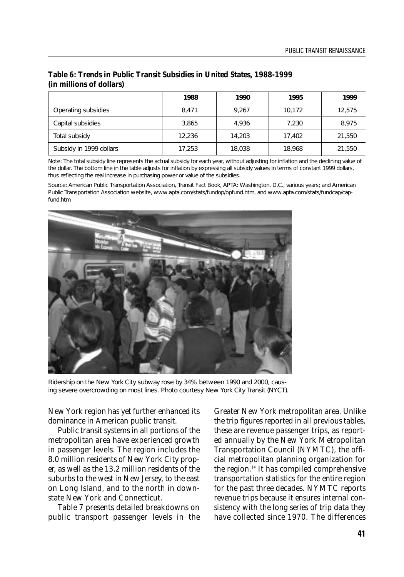|                         | 1988   | 1990   | 1995   | 1999   |
|-------------------------|--------|--------|--------|--------|
| Operating subsidies     | 8.471  | 9.267  | 10,172 | 12.575 |
| Capital subsidies       | 3.865  | 4.936  | 7,230  | 8.975  |
| Total subsidy           | 12.236 | 14.203 | 17.402 | 21,550 |
| Subsidy in 1999 dollars | 17,253 | 18,038 | 18,968 | 21,550 |

#### **Table 6: Trends in Public Transit Subsidies in United States, 1988-1999 (in millions of dollars)**

*Note: The total subsidy line represents the actual subsidy for each year, without adjusting for inflation and the declining value of the dollar. The bottom line in the table adjusts for inflation by expressing all subsidy values in terms of constant 1999 dollars, thus reflecting the real increase in purchasing power or value of the subsidies.*

*Source: American Public Transportation Association,* Transit Fact Book, *APTA: Washington, D.C., various years; and American Public Transportation Association website, www.apta.com/stats/fundop/opfund.htm, and www.apta.com/stats/fundcap/capfund.htm*



Ridership on the New York City subway rose by 34% between 1990 and 2000, causing severe overcrowding on most lines. Photo courtesy New York City Transit (NYCT).

New York region has yet further enhanced its dominance in American public transit.

Public transit systems in all portions of the metropolitan area have experienced growth in passenger levels. The region includes the 8.0 million residents of New York City proper, as well as the 13.2 million residents of the suburbs to the west in New Jersey, to the east on Long Island, and to the north in downstate New York and Connecticut.

Table 7 presents detailed breakdowns on public transport passenger levels in the Greater New York metropolitan area. Unlike the trip figures reported in all previous tables, these are revenue passenger trips, as reported annually by the New York Metropolitan Transportation Council (NYMTC), the official metropolitan planning organization for the region.<sup>14</sup> It has compiled comprehensive transportation statistics for the entire region for the past three decades. NYMTC reports revenue trips because it ensures internal consistency with the long series of trip data they have collected since 1970. The differences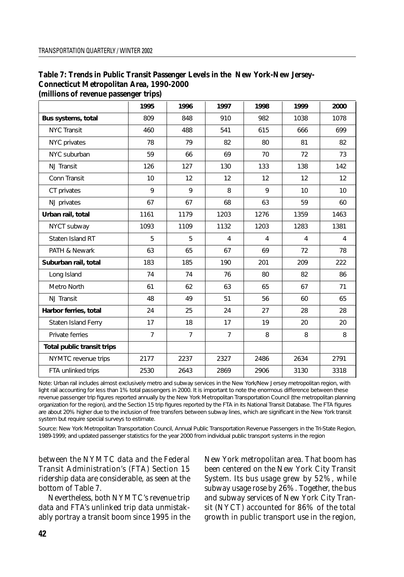| (millions of revenue passenger trips) |                |                |                |              |                |      |
|---------------------------------------|----------------|----------------|----------------|--------------|----------------|------|
|                                       | 1995           | 1996           | 1997           | 1998         | 1999           | 2000 |
| Bus systems, total                    | 809            | 848            | 910            | 982          | 1038           | 1078 |
| <b>NYC Transit</b>                    | 460            | 488            | 541            | 615          | 666            | 699  |
| NYC privates                          | 78             | 79             | 82             | 80           | 81             | 82   |
| NYC suburban                          | 59             | 66             | 69             | 70           | 72             | 73   |
| <b>NJ</b> Transit                     | 126            | 127            | 130            | 133          | 138            | 142  |
| Conn Transit                          | 10             | 12             | 12             | 12           | 12             | 12   |
| CT privates                           | $\mathsf{Q}$   | $\mathsf{Q}$   | 8              | $\mathsf{Q}$ | 10             | 10   |
| NJ privates                           | 67             | 67             | 68             | 63           | 59             | 60   |
| Urban rail, total                     | 1161           | 1179           | 1203           | 1276         | 1359           | 1463 |
| NYCT subway                           | 1093           | 1109           | 1132           | 1203         | 1283           | 1381 |
| Staten Island RT                      | 5              | 5              | $\overline{4}$ | 4            | $\overline{4}$ | 4    |
| PATH & Newark                         | 63             | 65             | 67             | 69           | 72             | 78   |
| Suburban rail, total                  | 183            | 185            | 190            | 201          | 209            | 222  |
| Long Island                           | 74             | 74             | 76             | 80           | 82             | 86   |
| Metro North                           | 61             | 62             | 63             | 65           | 67             | 71   |
| N.J Transit                           | 48             | 49             | 51             | 56           | 60             | 65   |
| Harbor ferries, total                 | 24             | 25             | 24             | 27           | 28             | 28   |
| Staten Island Ferry                   | 17             | 18             | 17             | 19           | 20             | 20   |
| Private ferries                       | $\overline{7}$ | $\overline{7}$ | $\overline{7}$ | 8            | 8              | 8    |
| Total public transit trips            |                |                |                |              |                |      |
| NYMTC revenue trips                   | 2177           | 2237           | 2327           | 2486         | 2634           | 2791 |
| FTA unlinked trips                    | 2530           | 2643           | 2869           | 2906         | 3130           | 3318 |

# **Table 7: Trends in Public Transit Passenger Levels in the New York-New Jersey-Connecticut Metropolitan Area, 1990-2000**

*Note: Urban rail includes almost exclusively metro and subway services in the New York/New Jersey metropolitan region, with light rail accounting for less than 1% total passengers in 2000. It is important to note the enormous difference between these revenue passenger trip figures reported annually by the New York Metropolitan Transportation Council (the metropolitan planning organization for the region), and the Section 15 trip figures reported by the FTA in its National Transit Database. The FTA figures are about 20% higher due to the inclusion of free transfers between subway lines, which are significant in the New York transit system but require special surveys to estimate.*

*Source: New York Metropolitan Transportation Council, Annual Public Transportation Revenue Passengers in the Tri-State Region, 1989-1999; and updated passenger statistics for the year 2000 from individual public transport systems in the region*

between the NYMTC data and the Federal Transit Administration's (FTA) Section 15 ridership data are considerable, as seen at the bottom of Table 7.

Nevertheless, both NYMTC's revenue trip data and FTA's unlinked trip data unmistakably portray a transit boom since 1995 in the New York metropolitan area. That boom has been centered on the New York City Transit System. Its bus usage grew by 52%, while subway usage rose by 26%. Together, the bus and subway services of New York City Transit (NYCT) accounted for 86% of the total growth in public transport use in the region,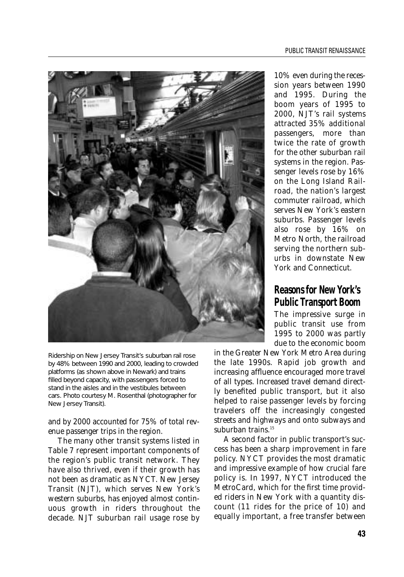

Ridership on New Jersey Transit's suburban rail rose by 48% between 1990 and 2000, leading to crowded platforms (as shown above in Newark) and trains filled beyond capacity, with passengers forced to stand in the aisles and in the vestibules between cars. Photo courtesy M. Rosenthal (photographer for New Jersey Transit).

and by 2000 accounted for 75% of total revenue passenger trips in the region.

The many other transit systems listed in Table 7 represent important components of the region's public transit network. They have also thrived, even if their growth has not been as dramatic as NYCT. New Jersey Transit (NJT), which serves New York's western suburbs, has enjoyed almost continuous growth in riders throughout the decade. NJT suburban rail usage rose by

10% even during the recession years between 1990 and 1995. During the boom years of 1995 to 2000, NJT's rail systems attracted 35% additional passengers, more than twice the rate of growth for the other suburban rail systems in the region. Passenger levels rose by 16% on the Long Island Railroad, the nation's largest commuter railroad, which serves New York's eastern suburbs. Passenger levels also rose by 16% on Metro North, the railroad serving the northern suburbs in downstate New York and Connecticut.

## **Reasons for New York's Public Transport Boom**

The impressive surge in public transit use from 1995 to 2000 was partly due to the economic boom

in the Greater New York Metro Area during the late 1990s. Rapid job growth and increasing affluence encouraged more travel of all types. Increased travel demand directly benefited public transport, but it also helped to raise passenger levels by forcing travelers off the increasingly congested streets and highways and onto subways and suburban trains.<sup>15</sup>

A second factor in public transport's success has been a sharp improvement in fare policy. NYCT provides the most dramatic and impressive example of how crucial fare policy is. In 1997, NYCT introduced the MetroCard, which for the first time provided riders in New York with a quantity discount (11 rides for the price of 10) and equally important, a free transfer between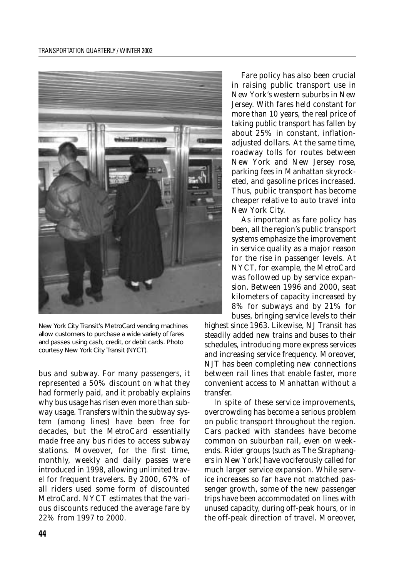

New York City Transit's MetroCard vending machines allow customers to purchase a wide variety of fares and passes using cash, credit, or debit cards. Photo courtesy New York City Transit (NYCT).

bus and subway. For many passengers, it represented a 50% discount on what they had formerly paid, and it probably explains why bus usage has risen even more than subway usage. Transfers within the subway system (among lines) have been free for decades, but the MetroCard essentially made free any bus rides to access subway stations. Moveover, for the first time, monthly, weekly and daily passes were introduced in 1998, allowing unlimited travel for frequent travelers. By 2000, 67% of all riders used some form of discounted MetroCard. NYCT estimates that the various discounts reduced the average fare by 22% from 1997 to 2000.

Fare policy has also been crucial in raising public transport use in New York's western suburbs in New Jersey. With fares held constant for more than 10 years, the real price of taking public transport has fallen by about 25% in constant, inflationadjusted dollars. At the same time, roadway tolls for routes between New York and New Jersey rose, parking fees in Manhattan skyrocketed, and gasoline prices increased. Thus, public transport has become cheaper relative to auto travel into New York City.

As important as fare policy has been, all the region's public transport systems emphasize the improvement in service quality as a major reason for the rise in passenger levels. At NYCT, for example, the MetroCard was followed up by service expansion. Between 1996 and 2000, seat kilometers of capacity increased by 8% for subways and by 21% for buses, bringing service levels to their

highest since 1963. Likewise, NJ Transit has steadily added new trains and buses to their schedules, introducing more express services and increasing service frequency. Moreover, NJT has been completing new connections between rail lines that enable faster, more convenient access to Manhattan without a transfer.

In spite of these service improvements, overcrowding has become a serious problem on public transport throughout the region. Cars packed with standees have become common on suburban rail, even on weekends. Rider groups (such as The Straphangers in New York) have vociferously called for much larger service expansion. While service increases so far have not matched passenger growth, some of the new passenger trips have been accommodated on lines with unused capacity, during off-peak hours, or in the off-peak direction of travel. Moreover,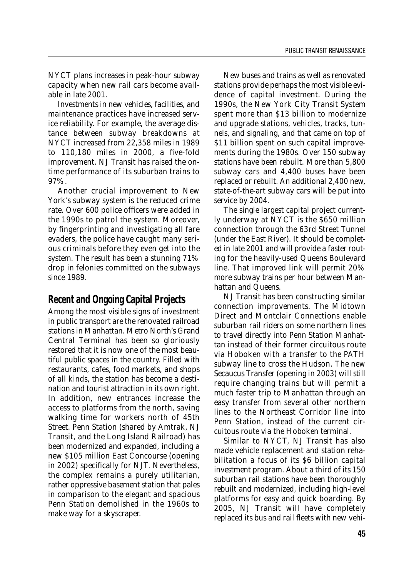NYCT plans increases in peak-hour subway capacity when new rail cars become available in late 2001.

Investments in new vehicles, facilities, and maintenance practices have increased service reliability. For example, the average distance between subway breakdowns at NYCT increased from 22,358 miles in 1989 to 110,180 miles in 2000, a five-fold improvement. NJ Transit has raised the ontime performance of its suburban trains to 97%.

Another crucial improvement to New York's subway system is the reduced crime rate. Over 600 police officers were added in the 1990s to patrol the system. Moreover, by fingerprinting and investigating all fare evaders, the police have caught many serious criminals before they even get into the system. The result has been a stunning 71% drop in felonies committed on the subways since 1989.

## **Recent and Ongoing Capital Projects**

Among the most visible signs of investment in public transport are the renovated railroad stations in Manhattan. Metro North's Grand Central Terminal has been so gloriously restored that it is now one of the most beautiful public spaces in the country. Filled with restaurants, cafes, food markets, and shops of all kinds, the station has become a destination and tourist attraction in its own right. In addition, new entrances increase the access to platforms from the north, saving walking time for workers north of 45th Street. Penn Station (shared by Amtrak, NJ Transit, and the Long Island Railroad) has been modernized and expanded, including a new \$105 million East Concourse (opening in 2002) specifically for NJT. Nevertheless, the complex remains a purely utilitarian, rather oppressive basement station that pales in comparison to the elegant and spacious Penn Station demolished in the 1960s to make way for a skyscraper.

New buses and trains as well as renovated stations provide perhaps the most visible evidence of capital investment. During the 1990s, the New York City Transit System spent more than \$13 billion to modernize and upgrade stations, vehicles, tracks, tunnels, and signaling, and that came on top of \$11 billion spent on such capital improvements during the 1980s. Over 150 subway stations have been rebuilt. More than 5,800 subway cars and 4,400 buses have been replaced or rebuilt. An additional 2,400 new, state-of-the-art subway cars will be put into service by 2004.

The single largest capital project currently underway at NYCT is the \$650 million connection through the 63rd Street Tunnel (under the East River). It should be completed in late 2001 and will provide a faster routing for the heavily-used Queens Boulevard line. That improved link will permit 20% more subway trains per hour between Manhattan and Queens.

NJ Transit has been constructing similar connection improvements. The Midtown Direct and Montclair Connections enable suburban rail riders on some northern lines to travel directly into Penn Station Manhattan instead of their former circuitous route via Hoboken with a transfer to the PATH subway line to cross the Hudson. The new Secaucus Transfer (opening in 2003) will still require changing trains but will permit a much faster trip to Manhattan through an easy transfer from several other northern lines to the Northeast Corridor line into Penn Station, instead of the current circuitous route via the Hoboken terminal.

Similar to NYCT, NJ Transit has also made vehicle replacement and station rehabilitation a focus of its \$6 billion capital investment program. About a third of its 150 suburban rail stations have been thoroughly rebuilt and modernized, including high-level platforms for easy and quick boarding. By 2005, NJ Transit will have completely replaced its bus and rail fleets with new vehi-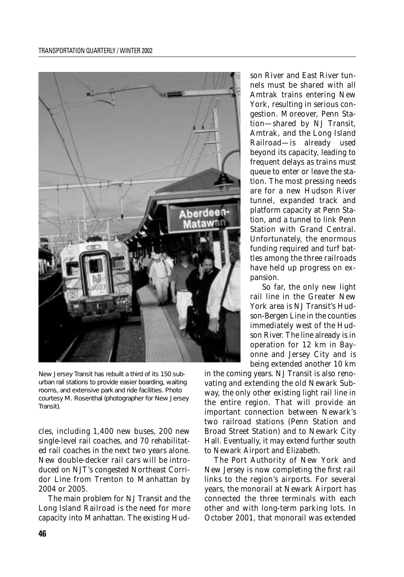

New Jersey Transit has rebuilt a third of its 150 suburban rail stations to provide easier boarding, waiting rooms, and extensive park and ride facilities. Photo courtesy M. Rosenthal (photographer for New Jersey Transit).

cles, including 1,400 new buses, 200 new single-level rail coaches, and 70 rehabilitated rail coaches in the next two years alone. New double-decker rail cars will be introduced on NJT's congested Northeast Corridor Line from Trenton to Manhattan by 2004 or 2005.

The main problem for NJ Transit and the Long Island Railroad is the need for more capacity into Manhattan. The existing Hudson River and East River tunnels must be shared with all Amtrak trains entering New York, resulting in serious congestion. Moreover, Penn Station—shared by NJ Transit, Amtrak, and the Long Island Railroad—is already used beyond its capacity, leading to frequent delays as trains must queue to enter or leave the station. The most pressing needs are for a new Hudson River tunnel, expanded track and platform capacity at Penn Station, and a tunnel to link Penn Station with Grand Central. Unfortunately, the enormous funding required and turf battles among the three railroads have held up progress on expansion.

So far, the only new light rail line in the Greater New York area is NJ Transit's Hudson-Bergen Line in the counties immediately west of the Hudson River. The line already is in operation for 12 km in Bayonne and Jersey City and is being extended another 10 km

in the coming years. NJ Transit is also renovating and extending the old Newark Subway, the only other existing light rail line in the entire region. That will provide an important connection between Newark's two railroad stations (Penn Station and Broad Street Station) and to Newark City Hall. Eventually, it may extend further south to Newark Airport and Elizabeth.

The Port Authority of New York and New Jersey is now completing the first rail links to the region's airports. For several years, the monorail at Newark Airport has connected the three terminals with each other and with long-term parking lots. In October 2001, that monorail was extended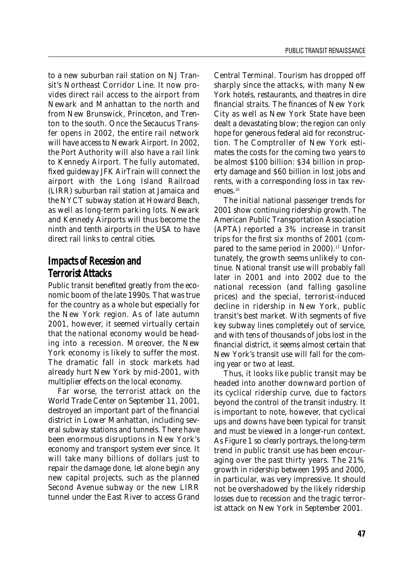to a new suburban rail station on NJ Transit's Northeast Corridor Line. It now provides direct rail access to the airport from Newark and Manhattan to the north and from New Brunswick, Princeton, and Trenton to the south. Once the Secaucus Transfer opens in 2002, the entire rail network will have access to Newark Airport. In 2002, the Port Authority will also have a rail link to Kennedy Airport. The fully automated, fixed guideway JFK AirTrain will connect the airport with the Long Island Railroad (LIRR) suburban rail station at Jamaica and the NYCT subway station at Howard Beach, as well as long-term parking lots. Newark and Kennedy Airports will thus become the ninth and tenth airports in the USA to have direct rail links to central cities.

# **Impacts of Recession and Terrorist Attacks**

Public transit benefited greatly from the economic boom of the late 1990s. That was true for the country as a whole but especially for the New York region. As of late autumn 2001, however, it seemed virtually certain that the national economy would be heading into a recession. Moreover, the New York economy is likely to suffer the most. The dramatic fall in stock markets had already hurt New York by mid-2001, with multiplier effects on the local economy.

Far worse, the terrorist attack on the World Trade Center on September 11, 2001, destroyed an important part of the financial district in Lower Manhattan, including several subway stations and tunnels. There have been enormous disruptions in New York's economy and transport system ever since. It will take many billions of dollars just to repair the damage done, let alone begin any new capital projects, such as the planned Second Avenue subway or the new LIRR tunnel under the East River to access Grand

Central Terminal. Tourism has dropped off sharply since the attacks, with many New York hotels, restaurants, and theatres in dire financial straits. The finances of New York City as well as New York State have been dealt a devastating blow; the region can only hope for generous federal aid for reconstruction. The Comptroller of New York estimates the costs for the coming two years to be almost \$100 billion: \$34 billion in property damage and \$60 billion in lost jobs and rents, with a corresponding loss in tax revenues.16

The initial national passenger trends for 2001 show continuing ridership growth. The American Public Transportation Association (APTA) reported a 3% increase in transit trips for the first six months of 2001 (compared to the same period in 2000).<sup>17</sup> Unfortunately, the growth seems unlikely to continue. National transit use will probably fall later in 2001 and into 2002 due to the national recession (and falling gasoline prices) and the special, terrorist-induced decline in ridership in New York, public transit's best market. With segments of five key subway lines completely out of service, and with tens of thousands of jobs lost in the financial district, it seems almost certain that New York's transit use will fall for the coming year or two at least.

Thus, it looks like public transit may be headed into another downward portion of its cyclical ridership curve, due to factors beyond the control of the transit industry. It is important to note, however, that cyclical ups and downs have been typical for transit and must be viewed in a longer-run context. As Figure 1 so clearly portrays, the long-term trend in public transit use has been encouraging over the past thirty years. The 21% growth in ridership between 1995 and 2000, in particular, was very impressive. It should not be overshadowed by the likely ridership losses due to recession and the tragic terrorist attack on New York in September 2001.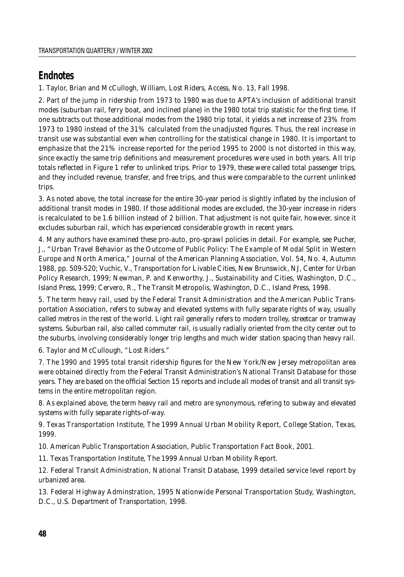# **Endnotes**

1. Taylor, Brian and McCullogh, William, Lost Riders, Access, No. 13, Fall 1998.

2. Part of the jump in ridership from 1973 to 1980 was due to APTA's inclusion of additional transit modes (suburban rail, ferry boat, and inclined plane) in the 1980 total trip statistic for the first time. If one subtracts out those additional modes from the 1980 trip total, it yields a net increase of 23% from 1973 to 1980 instead of the 31% calculated from the unadjusted figures. Thus, the real increase in transit use was substantial even when controlling for the statistical change in 1980. It is important to emphasize that the 21% increase reported for the period 1995 to 2000 is not distorted in this way, since exactly the same trip definitions and measurement procedures were used in both years. All trip totals reflected in Figure 1 refer to unlinked trips. Prior to 1979, these were called total passenger trips, and they included revenue, transfer, and free trips, and thus were comparable to the current unlinked trips.

3. As noted above, the total increase for the entire 30-year period is slightly inflated by the inclusion of additional transit modes in 1980. If those additional modes are excluded, the 30-year increase in riders is recalculated to be 1.6 billion instead of 2 billion. That adjustment is not quite fair, however, since it excludes suburban rail, which has experienced considerable growth in recent years.

4. Many authors have examined these pro-auto, pro-sprawl policies in detail. For example, see Pucher, J., "Urban Travel Behavior as the Outcome of Public Policy: The Example of Modal Split in Western Europe and North America," *Journal of the American Planning Association,* Vol. 54, No. 4, Autumn 1988, pp. 509-520; Vuchic, V., *Transportation for Livable Cities*, New Brunswick, NJ, Center for Urban Policy Research, 1999; Newman, P. and Kenworthy, J., *Sustainability and Cities,* Washington, D.C., Island Press, 1999; Cervero, R., *The Transit Metropolis,* Washington, D.C., Island Press, 1998.

5. The term *heavy rail,* used by the Federal Transit Administration and the American Public Transportation Association, refers to subway and elevated systems with fully separate rights of way, usually called *metros* in the rest of the world. *Light rail* generally refers to modern trolley, streetcar or tramway systems. *Suburban rail,* also called commuter rail, is usually radially oriented from the city center out to the suburbs, involving considerably longer trip lengths and much wider station spacing than heavy rail.

6. Taylor and McCullough, "Lost Riders."

7. The 1990 and 1995 total transit ridership figures for the New York/New Jersey metropolitan area were obtained directly from the Federal Transit Administration's National Transit Database for those years. They are based on the official Section 15 reports and include all modes of transit and all transit systems in the entire metropolitan region.

8. As explained above, the term *heavy rail* and *metro* are synonymous, refering to subway and elevated systems with fully separate rights-of-way.

9. Texas Transportation Institute, *The 1999 Annual Urban Mobility Report,* College Station, Texas, 1999.

10. American Public Transportation Association, *Public Transportation Fact Book,* 2001.

11. Texas Transportation Institute, *The 1999 Annual Urban Mobility Report.*

12. Federal Transit Administration, *National Transit Database,* 1999 detailed service level report by urbanized area.

13. Federal Highway Adminstration, *1995 Nationwide Personal Transportation Study,* Washington, D.C., U.S. Department of Transportation, 1998.